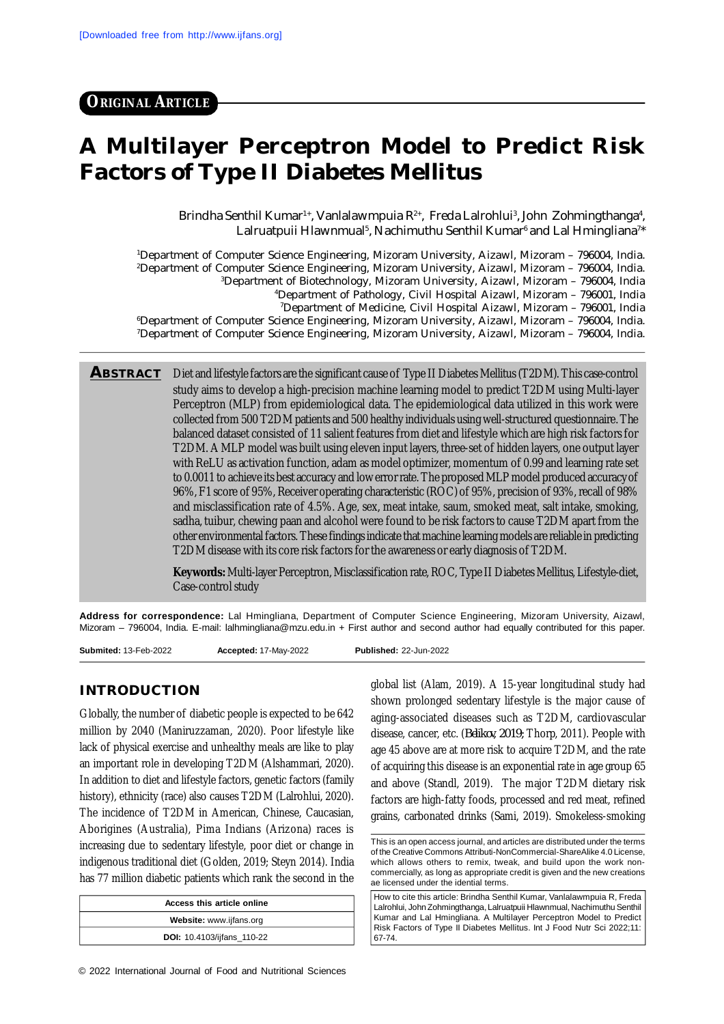**ORIGINAL ARTICLE**

# **A Multilayer Perceptron Model to Predict Risk Factors of Type II Diabetes Mellitus**

Brindha Senthil Kumar<sup>1+</sup>, Vanlalawmpuia R<sup>2+</sup>, Freda Lalrohlui<sup>3</sup>, John Zohmingthanga<sup>4</sup>, Lalruatpuii Hlawnmual<sup>s</sup>, Nachimuthu Senthil Kumar<sup>6</sup> and Lal Hmingliana<sup>7\*</sup>

Department of Computer Science Engineering, Mizoram University, Aizawl, Mizoram – 796004, India. Department of Computer Science Engineering, Mizoram University, Aizawl, Mizoram – 796004, India. Department of Biotechnology, Mizoram University, Aizawl, Mizoram – 796004, India Department of Pathology, Civil Hospital Aizawl, Mizoram – 796001, India Department of Medicine, Civil Hospital Aizawl, Mizoram – 796001, India Department of Computer Science Engineering, Mizoram University, Aizawl, Mizoram – 796004, India. Department of Computer Science Engineering, Mizoram University, Aizawl, Mizoram – 796004, India.

**ABSTRACT** Diet and lifestyle factors are the significant cause of Type II Diabetes Mellitus (T2DM). This case-control study aims to develop a high-precision machine learning model to predict T2DM using Multi-layer Perceptron (MLP) from epidemiological data. The epidemiological data utilized in this work were collected from 500 T2DM patients and 500 healthy individuals using well-structured questionnaire. The balanced dataset consisted of 11 salient features from diet and lifestyle which are high risk factors for T2DM. A MLP model was built using eleven input layers, three-set of hidden layers, one output layer with ReLU as activation function, adam as model optimizer, momentum of 0.99 and learning rate set to 0.0011 to achieve its best accuracy and low error rate. The proposed MLP model produced accuracy of 96%, F1 score of 95%, Receiver operating characteristic (ROC) of 95%, precision of 93%, recall of 98% and misclassification rate of 4.5%. Age, sex, meat intake, saum, smoked meat, salt intake, smoking, sadha, tuibur, chewing paan and alcohol were found to be risk factors to cause T2DM apart from the other environmental factors. These findings indicate that machine learning models are reliable in predicting T2DM disease with its core risk factors for the awareness or early diagnosis of T2DM.

> **Keywords:** Multi-layer Perceptron, Misclassification rate, ROC, Type II Diabetes Mellitus, Lifestyle-diet, Case-control study

**Address for correspondence:** Lal Hmingliana, Department of Computer Science Engineering, Mizoram University, Aizawl, Mizoram – 796004, India. E-mail: [lalhmingliana@mzu.edu.in](mailto:lalhmingliana@mzu.edu.in) + First author and second author had equally contributed for this paper.

**Submited:** 13-Feb-2022 **Accepted:** 17-May-2022 **Published:** 22-Jun-2022

# **INTRODUCTION**

Globally, the number of diabetic people is expected to be 642 million by 2040 (Maniruzzaman, 2020). Poor lifestyle like lack of physical exercise and unhealthy meals are like to play an important role in developing T2DM (Alshammari, 2020). In addition to diet and lifestyle factors, genetic factors (family history), ethnicity (race) also causes T2DM (Lalrohlui, 2020). The incidence of T2DM in American, Chinese, Caucasian, Aborigines (Australia), Pima Indians (Arizona) races is increasing due to sedentary lifestyle, poor diet or change in indigenous traditional diet (Golden, 2019; Steyn 2014). India has 77 million diabetic patients which rank the second in the

| Access this article online        |  |  |  |  |  |
|-----------------------------------|--|--|--|--|--|
| Website: www.ijfans.org           |  |  |  |  |  |
| <b>DOI:</b> 10.4103/ijfans_110-22 |  |  |  |  |  |

© 2022 International Journal of Food and Nutritional Sciences

global list (Alam, 2019). A 15-year longitudinal study had shown prolonged sedentary lifestyle is the major cause of aging-associated diseases such as T2DM, cardiovascular disease, cancer, etc. (*Belikov, 2019;* Thorp, 2011). People with age 45 above are at more risk to acquire T2DM, and the rate of acquiring this disease is an exponential rate in age group 65 and above (Standl, 2019). The major T2DM dietary risk factors are high-fatty foods, processed and red meat, refined grains, carbonated drinks (Sami, 2019). Smokeless-smoking

How to cite this article: Brindha Senthil Kumar, Vanlalawmpuia R, Freda Lalrohlui, John Zohmingthanga, Lalruatpuii Hlawnmual, Nachimuthu Senthil Kumar and Lal Hmingliana. A Multilayer Perceptron Model to Predict Risk Factors of Type II Diabetes Mellitus. Int J Food Nutr Sci 2022;11: 67-74.

This is an open access journal, and articles are distributed under the terms of the Creative Commons Attributi-NonCommercial-ShareAlike 4.0 License, which allows others to remix, tweak, and build upon the work noncommercially, as long as appropriate credit is given and the new creations ae licensed under the idential terms.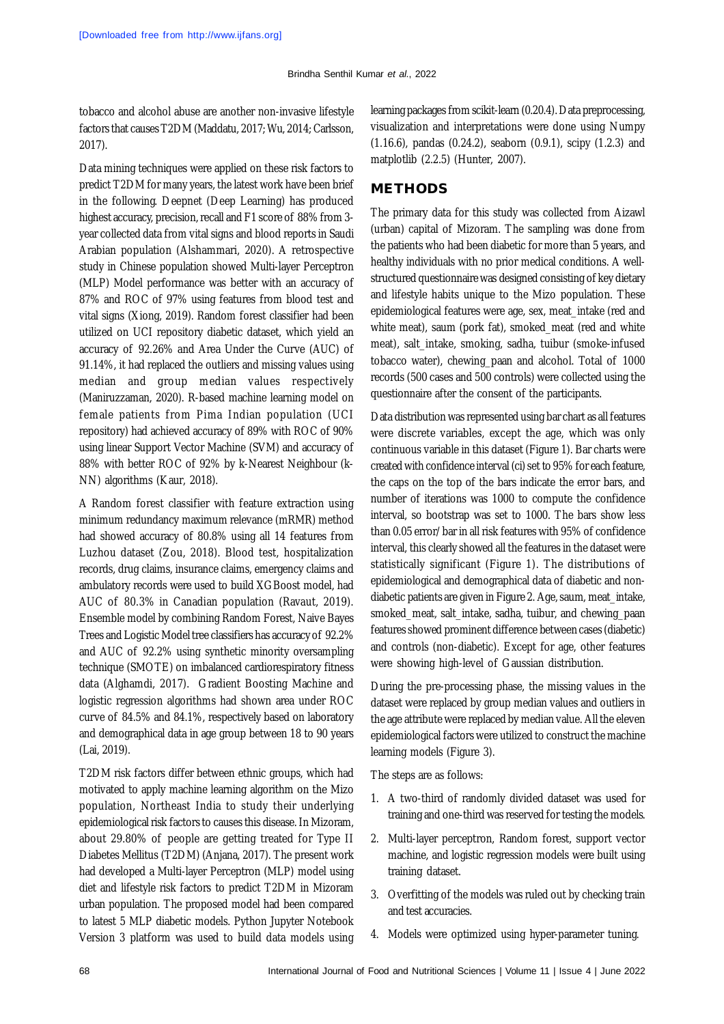tobacco and alcohol abuse are another non-invasive lifestyle factors that causes T2DM (Maddatu, 2017; Wu, 2014; Carlsson, 2017).

Data mining techniques were applied on these risk factors to predict T2DM for many years, the latest work have been brief in the following. Deepnet (Deep Learning) has produced highest accuracy, precision, recall and F1 score of 88% from 3 year collected data from vital signs and blood reports in Saudi Arabian population (Alshammari, 2020). A retrospective study in Chinese population showed Multi-layer Perceptron (MLP) Model performance was better with an accuracy of 87% and ROC of 97% using features from blood test and vital signs (Xiong, 2019). Random forest classifier had been utilized on UCI repository diabetic dataset, which yield an accuracy of 92.26% and Area Under the Curve (AUC) of 91.14%, it had replaced the outliers and missing values using median and group median values respectively (Maniruzzaman, 2020). R-based machine learning model on female patients from Pima Indian population (UCI repository) had achieved accuracy of 89% with ROC of 90% using linear Support Vector Machine (SVM) and accuracy of 88% with better ROC of 92% by k-Nearest Neighbour (k-NN) algorithms (Kaur, 2018).

A Random forest classifier with feature extraction using minimum redundancy maximum relevance (mRMR) method had showed accuracy of 80.8% using all 14 features from Luzhou dataset (Zou, 2018). Blood test, hospitalization records, drug claims, insurance claims, emergency claims and ambulatory records were used to build XGBoost model, had AUC of 80.3% in Canadian population (Ravaut, 2019). Ensemble model by combining Random Forest, Naive Bayes Trees and Logistic Model tree classifiers has accuracy of 92.2% and AUC of 92.2% using synthetic minority oversampling technique (SMOTE) on imbalanced cardiorespiratory fitness data (Alghamdi, 2017). Gradient Boosting Machine and logistic regression algorithms had shown area under ROC curve of 84.5% and 84.1%, respectively based on laboratory and demographical data in age group between 18 to 90 years (Lai, 2019).

T2DM risk factors differ between ethnic groups, which had motivated to apply machine learning algorithm on the Mizo population, Northeast India to study their underlying epidemiological risk factors to causes this disease. In Mizoram, about 29.80% of people are getting treated for Type II Diabetes Mellitus (T2DM) (Anjana, 2017). The present work had developed a Multi-layer Perceptron (MLP) model using diet and lifestyle risk factors to predict T2DM in Mizoram urban population. The proposed model had been compared to latest 5 MLP diabetic models. Python Jupyter Notebook Version 3 platform was used to build data models using

learning packages from scikit-learn (0.20.4). Data preprocessing, visualization and interpretations were done using Numpy (1.16.6), pandas (0.24.2), seaborn (0.9.1), scipy (1.2.3) and matplotlib (2.2.5) (Hunter, 2007).

# **METHODS**

The primary data for this study was collected from Aizawl (urban) capital of Mizoram. The sampling was done from the patients who had been diabetic for more than 5 years, and healthy individuals with no prior medical conditions. A wellstructured questionnaire was designed consisting of key dietary and lifestyle habits unique to the Mizo population. These epidemiological features were age, sex, meat\_intake (red and white meat), saum (pork fat), smoked\_meat (red and white meat), salt\_intake, smoking, sadha, tuibur (smoke-infused tobacco water), chewing\_paan and alcohol. Total of 1000 records (500 cases and 500 controls) were collected using the questionnaire after the consent of the participants.

Data distribution was represented using bar chart as all features were discrete variables, except the age, which was only continuous variable in this dataset (Figure 1). Bar charts were created with confidence interval (ci) set to 95% for each feature, the caps on the top of the bars indicate the error bars, and number of iterations was 1000 to compute the confidence interval, so bootstrap was set to 1000. The bars show less than 0.05 error/bar in all risk features with 95% of confidence interval, this clearly showed all the features in the dataset were statistically significant (Figure 1). The distributions of epidemiological and demographical data of diabetic and nondiabetic patients are given in Figure 2. Age, saum, meat\_intake, smoked\_meat, salt\_intake, sadha, tuibur, and chewing\_paan features showed prominent difference between cases (diabetic) and controls (non-diabetic). Except for age, other features were showing high-level of Gaussian distribution.

During the pre-processing phase, the missing values in the dataset were replaced by group median values and outliers in the age attribute were replaced by median value. All the eleven epidemiological factors were utilized to construct the machine learning models (Figure 3).

The steps are as follows:

- 1. A two-third of randomly divided dataset was used for training and one-third was reserved for testing the models.
- 2. Multi-layer perceptron, Random forest, support vector machine, and logistic regression models were built using training dataset.
- 3. Overfitting of the models was ruled out by checking train and test accuracies.
- 4. Models were optimized using hyper-parameter tuning.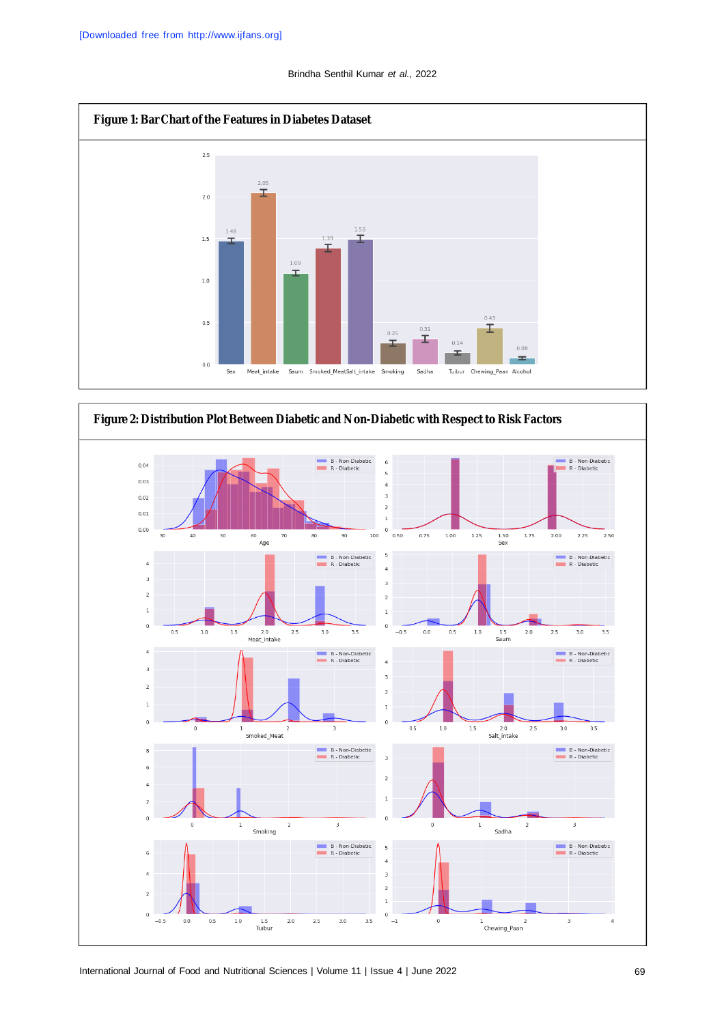

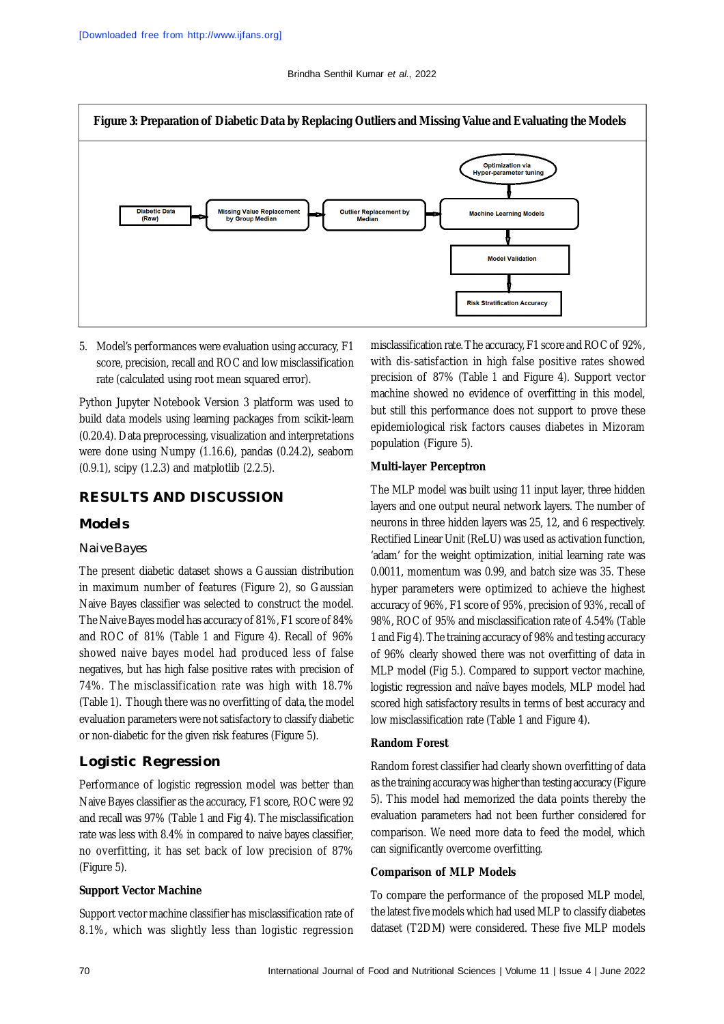

5. Model's performances were evaluation using accuracy, F1 score, precision, recall and ROC and low misclassification rate (calculated using root mean squared error).

Python Jupyter Notebook Version 3 platform was used to build data models using learning packages from scikit-learn (0.20.4). Data preprocessing, visualization and interpretations were done using Numpy (1.16.6), pandas (0.24.2), seaborn (0.9.1), scipy (1.2.3) and matplotlib (2.2.5).

## **RESULTS AND DISCUSSION**

## *Models*

#### *Naive Bayes*

The present diabetic dataset shows a Gaussian distribution in maximum number of features (Figure 2), so Gaussian Naive Bayes classifier was selected to construct the model. The Naive Bayes model has accuracy of 81%, F1 score of 84% and ROC of 81% (Table 1 and Figure 4). Recall of 96% showed naive bayes model had produced less of false negatives, but has high false positive rates with precision of 74%. The misclassification rate was high with 18.7% (Table 1). Though there was no overfitting of data, the model evaluation parameters were not satisfactory to classify diabetic or non-diabetic for the given risk features (Figure 5).

## **Logistic Regression**

Performance of logistic regression model was better than Naive Bayes classifier as the accuracy, F1 score, ROC were 92 and recall was 97% (Table 1 and Fig 4). The misclassification rate was less with 8.4% in compared to naive bayes classifier, no overfitting, it has set back of low precision of 87% (Figure 5).

#### **Support Vector Machine**

Support vector machine classifier has misclassification rate of 8.1%, which was slightly less than logistic regression misclassification rate. The accuracy, F1 score and ROC of 92%, with dis-satisfaction in high false positive rates showed precision of 87% (Table 1 and Figure 4). Support vector machine showed no evidence of overfitting in this model, but still this performance does not support to prove these epidemiological risk factors causes diabetes in Mizoram population (Figure 5).

#### **Multi-layer Perceptron**

The MLP model was built using 11 input layer, three hidden layers and one output neural network layers. The number of neurons in three hidden layers was 25, 12, and 6 respectively. Rectified Linear Unit (ReLU) was used as activation function, 'adam' for the weight optimization, initial learning rate was 0.0011, momentum was 0.99, and batch size was 35. These hyper parameters were optimized to achieve the highest accuracy of 96%, F1 score of 95%, precision of 93%, recall of 98%, ROC of 95% and misclassification rate of 4.54% (Table 1 and Fig 4). The training accuracy of 98% and testing accuracy of 96% clearly showed there was not overfitting of data in MLP model (Fig 5.). Compared to support vector machine, logistic regression and naïve bayes models, MLP model had scored high satisfactory results in terms of best accuracy and low misclassification rate (Table 1 and Figure 4).

#### **Random Forest**

Random forest classifier had clearly shown overfitting of data as the training accuracy was higher than testing accuracy (Figure 5). This model had memorized the data points thereby the evaluation parameters had not been further considered for comparison. We need more data to feed the model, which can significantly overcome overfitting.

#### **Comparison of MLP Models**

To compare the performance of the proposed MLP model, the latest five models which had used MLP to classify diabetes dataset (T2DM) were considered. These five MLP models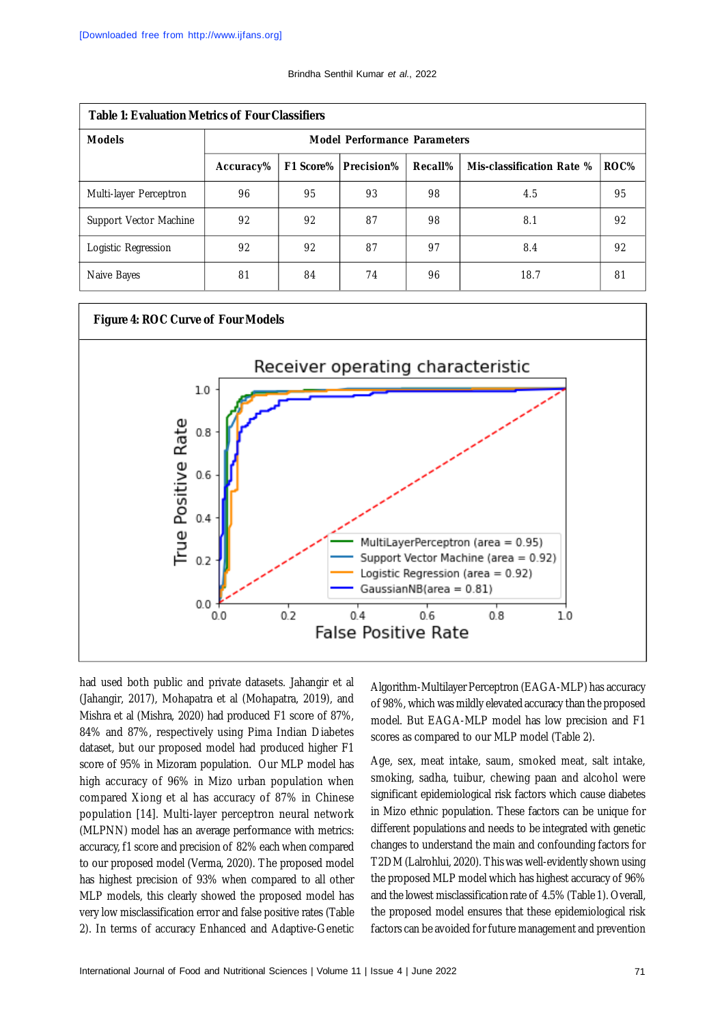| <b>Table 1: Evaluation Metrics of Four Classifiers</b> |                                     |    |                             |         |                           |      |  |  |  |  |
|--------------------------------------------------------|-------------------------------------|----|-----------------------------|---------|---------------------------|------|--|--|--|--|
| <b>Models</b>                                          | <b>Model Performance Parameters</b> |    |                             |         |                           |      |  |  |  |  |
|                                                        | Accuracy%                           |    | <b>F1 Score% Precision%</b> | Recall% | Mis-classification Rate % | ROC% |  |  |  |  |
| Multi-layer Perceptron                                 | 96                                  | 95 | 93                          | 98      | 4.5                       | 95   |  |  |  |  |
| Support Vector Machine                                 | 92                                  | 92 | 87                          | 98      | 8.1                       | 92   |  |  |  |  |
| Logistic Regression                                    | 92                                  | 92 | 87                          | 97      | 8.4                       | 92   |  |  |  |  |
| Naive Bayes                                            | 81                                  | 84 | 74                          | 96      | 18.7                      | 81   |  |  |  |  |



had used both public and private datasets. Jahangir et al (Jahangir, 2017), Mohapatra et al (Mohapatra, 2019), and Mishra et al (Mishra, 2020) had produced F1 score of 87%, 84% and 87%, respectively using Pima Indian Diabetes dataset, but our proposed model had produced higher F1 score of 95% in Mizoram population. Our MLP model has high accuracy of 96% in Mizo urban population when compared Xiong et al has accuracy of 87% in Chinese population [14]. Multi-layer perceptron neural network (MLPNN) model has an average performance with metrics: accuracy, f1 score and precision of 82% each when compared to our proposed model (Verma, 2020). The proposed model has highest precision of 93% when compared to all other MLP models, this clearly showed the proposed model has very low misclassification error and false positive rates (Table 2). In terms of accuracy Enhanced and Adaptive-Genetic

Algorithm-Multilayer Perceptron (EAGA-MLP) has accuracy of 98%, which was mildly elevated accuracy than the proposed model. But EAGA-MLP model has low precision and F1 scores as compared to our MLP model (Table 2).

Age, sex, meat intake, saum, smoked meat, salt intake, smoking, sadha, tuibur, chewing paan and alcohol were significant epidemiological risk factors which cause diabetes in Mizo ethnic population. These factors can be unique for different populations and needs to be integrated with genetic changes to understand the main and confounding factors for T2DM (Lalrohlui, 2020). This was well-evidently shown using the proposed MLP model which has highest accuracy of 96% and the lowest misclassification rate of 4.5% (Table 1). Overall, the proposed model ensures that these epidemiological risk factors can be avoided for future management and prevention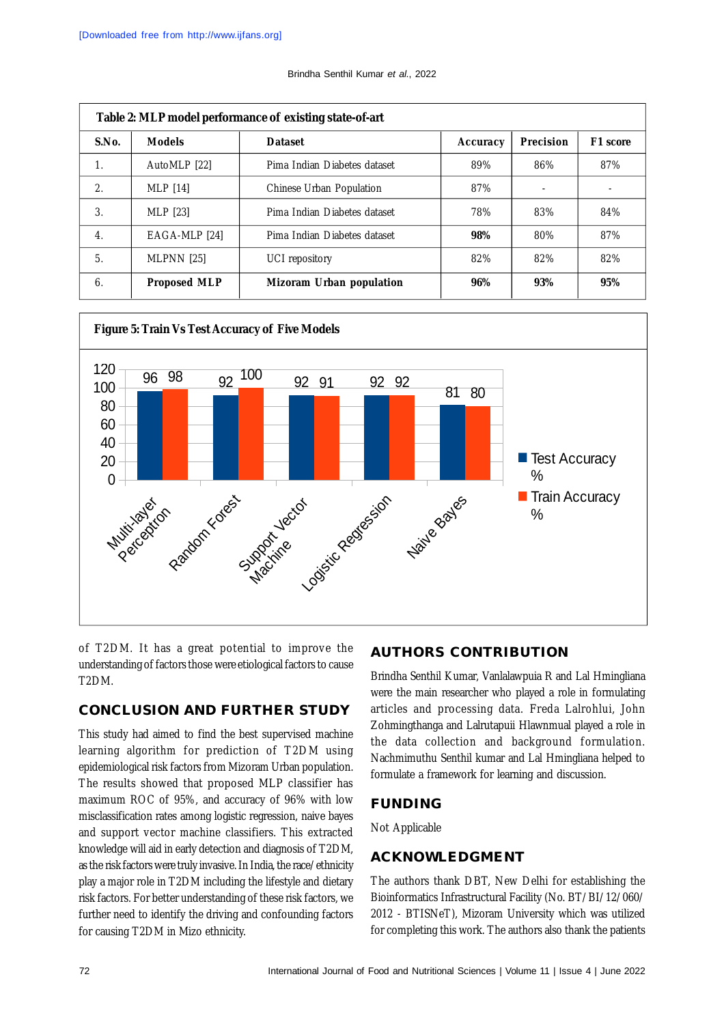| Table 2: MLP model performance of existing state-of-art |                     |                                 |          |                          |          |  |  |  |  |
|---------------------------------------------------------|---------------------|---------------------------------|----------|--------------------------|----------|--|--|--|--|
| S.No.                                                   | <b>Models</b>       | <b>Dataset</b>                  | Accuracy | <b>Precision</b>         | F1 score |  |  |  |  |
| $\mathbf{1}$ .                                          | AutoMLP [22]        | Pima Indian Diabetes dataset    | 89%      | 86%                      | 87%      |  |  |  |  |
| 2.                                                      | <b>MLP</b> [14]     | <b>Chinese Urban Population</b> | 87%      | $\overline{\phantom{a}}$ | ٠        |  |  |  |  |
| 3.                                                      | MLP [23]            | Pima Indian Diabetes dataset    | 78%      | 83%                      | 84%      |  |  |  |  |
| $\overline{4}$ .                                        | EAGA-MLP [24]       | Pima Indian Diabetes dataset    | 98%      | 80%                      | 87%      |  |  |  |  |
| 5.                                                      | <b>MLPNN [25]</b>   | UCI repository                  | 82%      | 82%                      | 82%      |  |  |  |  |
| 6.                                                      | <b>Proposed MLP</b> | Mizoram Urban population        | 96%      | 93%                      | 95%      |  |  |  |  |





of T2DM. It has a great potential to improve the understanding of factors those were etiological factors to cause T2DM.

## **CONCLUSION AND FURTHER STUDY**

This study had aimed to find the best supervised machine learning algorithm for prediction of T2DM using epidemiological risk factors from Mizoram Urban population. The results showed that proposed MLP classifier has maximum ROC of 95%, and accuracy of 96% with low misclassification rates among logistic regression, naive bayes and support vector machine classifiers. This extracted knowledge will aid in early detection and diagnosis of T2DM, as the risk factors were truly invasive. In India, the race/ethnicity play a major role in T2DM including the lifestyle and dietary risk factors. For better understanding of these risk factors, we further need to identify the driving and confounding factors for causing T2DM in Mizo ethnicity.

# **AUTHORS CONTRIBUTION**

Brindha Senthil Kumar, Vanlalawpuia R and Lal Hmingliana were the main researcher who played a role in formulating articles and processing data. Freda Lalrohlui, John Zohmingthanga and Lalrutapuii Hlawnmual played a role in the data collection and background formulation. Nachmimuthu Senthil kumar and Lal Hmingliana helped to formulate a framework for learning and discussion.

# **FUNDING**

Not Applicable

# **ACKNOWLEDGMENT**

The authors thank DBT, New Delhi for establishing the Bioinformatics Infrastructural Facility (No. BT/BI/12/060/ 2012 - BTISNeT), Mizoram University which was utilized for completing this work. The authors also thank the patients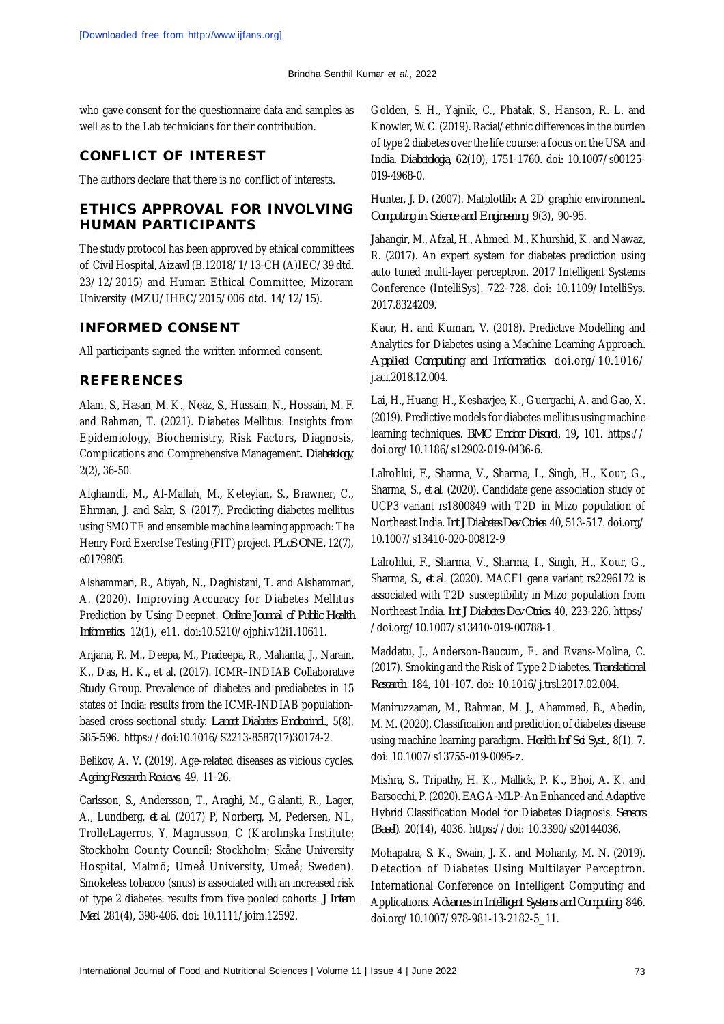who gave consent for the questionnaire data and samples as well as to the Lab technicians for their contribution.

# **CONFLICT OF INTEREST**

The authors declare that there is no conflict of interests.

# **ETHICS APPROVAL FOR INVOLVING HUMAN PARTICIPANTS**

The study protocol has been approved by ethical committees of Civil Hospital, Aizawl (B.12018/1/13-CH (A)IEC/39 dtd. 23/12/2015) and Human Ethical Committee, Mizoram University (MZU/IHEC/2015/006 dtd. 14/12/15).

# **INFORMED CONSENT**

All participants signed the written informed consent.

### **REFERENCES**

Alam, S., Hasan, M. K., Neaz, S., Hussain, N., Hossain, M. F. and Rahman, T. (2021). Diabetes Mellitus: Insights from Epidemiology, Biochemistry, Risk Factors, Diagnosis, Complications and Comprehensive Management. *Diabetology*, 2(2), 36-50.

Alghamdi, M., Al-Mallah, M., Keteyian, S., Brawner, C., Ehrman, J. and Sakr, S. (2017). Predicting diabetes mellitus using SMOTE and ensemble machine learning approach: The Henry Ford ExercIse Testing (FIT) project. *PLoS ONE*, 12(7), e0179805.

Alshammari, R., Atiyah, N., Daghistani, T. and Alshammari, A. (2020). Improving Accuracy for Diabetes Mellitus Prediction by Using Deepnet. *Online Journal of Public Health Informatics*, 12(1), e11. doi:10.5210/ojphi.v12i1.10611.

Anjana, R. M., Deepa, M., Pradeepa, R., Mahanta, J., Narain, K., Das, H. K., et al. (2017). ICMR–INDIAB Collaborative Study Group. Prevalence of diabetes and prediabetes in 15 states of India: results from the ICMR-INDIAB populationbased cross-sectional study. *Lancet Diabetes Endocrinol.*, 5(8), 585-596. [https://doi:10.1016/S2213-8587\(17\)30174-2.](https://doi:10.1016/S2213-8587(17)30174-2.)

Belikov, A. V. (2019). Age-related diseases as vicious cycles. *Ageing Research Reviews*, 49, 11-26.

Carlsson, S., Andersson, T., Araghi, M., Galanti, R., Lager, A., Lundberg, *et al*. (2017) P, Norberg, M, Pedersen, NL, TrolleLagerros, Y, Magnusson, C (Karolinska Institute; Stockholm County Council; Stockholm; Skåne University Hospital, Malmö; Umeå University, Umeå; Sweden). Smokeless tobacco (snus) is associated with an increased risk of type 2 diabetes: results from five pooled cohorts. *J Intern Med*. 281(4), 398-406. doi: 10.1111/joim.12592.

Golden, S. H., Yajnik, C., Phatak, S., Hanson, R. L. and Knowler, W. C. (2019). Racial/ethnic differences in the burden of type 2 diabetes over the life course: a focus on the USA and India. *Diabetologia*, 62(10), 1751-1760. doi: 10.1007/s00125- 019-4968-0.

Hunter, J. D. (2007). Matplotlib: A 2D graphic environment. *Computing in Science and Engineering*. 9(3), 90-95.

Jahangir, M., Afzal, H., Ahmed, M., Khurshid, K. and Nawaz, R. (2017). An expert system for diabetes prediction using auto tuned multi-layer perceptron. 2017 Intelligent Systems Conference (IntelliSys). 722-728. doi: 10.1109/IntelliSys. 2017.8324209.

Kaur, H. and Kumari, V. (2018). Predictive Modelling and Analytics for Diabetes using a Machine Learning Approach. *Applied Computing and Informatics*. doi.org/10.1016/ j.aci.2018.12.004.

Lai, H., Huang, H., Keshavjee, K., Guergachi, A. and Gao, X. (2019). Predictive models for diabetes mellitus using machine learning techniques. *BMC Endocr Disord*., 19**,** 101. <https://> doi.org/10.1186/s12902-019-0436-6.

Lalrohlui, F., Sharma, V., Sharma, I., Singh, H., Kour, G., Sharma, S., *et al*. (2020). Candidate gene association study of UCP3 variant rs1800849 with T2D in Mizo population of Northeast India. *Int J Diabetes Dev Ctries*. 40, 513-517. doi.org/ 10.1007/s13410-020-00812-9

Lalrohlui, F., Sharma, V., Sharma, I., Singh, H., Kour, G., Sharma, S., *et al*. (2020). MACF1 gene variant rs2296172 is associated with T2D susceptibility in Mizo population from Northeast India. *Int J Diabetes Dev Ctries*. 40, 223-226. https:/ /doi.org/10.1007/s13410-019-00788-1.

Maddatu, J., Anderson-Baucum, E. and Evans-Molina, C. (2017). Smoking and the Risk of Type 2 Diabetes. *Translational Research*. 184, 101-107. doi: 10.1016/j.trsl.2017.02.004.

Maniruzzaman, M., Rahman, M. J., Ahammed, B., Abedin, M. M. (2020), Classification and prediction of diabetes disease using machine learning paradigm. *Health Inf Sci Syst*., 8(1), 7. doi: 10.1007/s13755-019-0095-z.

Mishra, S., Tripathy, H. K., Mallick, P. K., Bhoi, A. K. and Barsocchi, P. (2020). EAGA-MLP-An Enhanced and Adaptive Hybrid Classification Model for Diabetes Diagnosis. *Sensors (Basel)*. 20(14), 4036. <https://doi:> 10.3390/s20144036.

Mohapatra, S. K., Swain, J. K. and Mohanty, M. N. (2019). Detection of Diabetes Using Multilayer Perceptron. International Conference on Intelligent Computing and Applications. *Advances in Intelligent Systems and Computing*. 846. doi.org/10.1007/978-981-13-2182-5\_11.